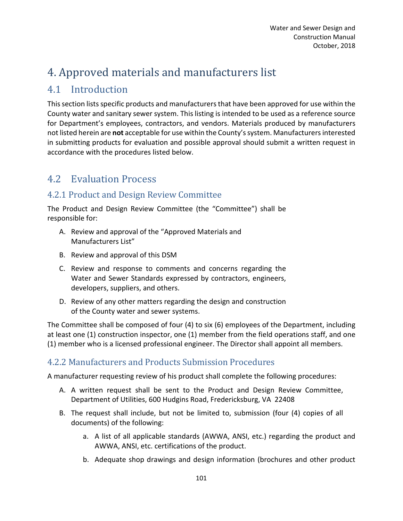# 4. Approved materials and manufacturers list

# 4.1 Introduction

This section lists specific products and manufacturers that have been approved for use within the County water and sanitary sewer system. This listing is intended to be used as a reference source for Department's employees, contractors, and vendors. Materials produced by manufacturers not listed herein are **not** acceptable for use within the County's system. Manufacturers interested in submitting products for evaluation and possible approval should submit a written request in accordance with the procedures listed below.

# 4.2 Evaluation Process

# 4.2.1 Product and Design Review Committee

The Product and Design Review Committee (the "Committee") shall be responsible for:

- A. Review and approval of the "Approved Materials and Manufacturers List"
- B. Review and approval of this DSM
- C. Review and response to comments and concerns regarding the Water and Sewer Standards expressed by contractors, engineers, developers, suppliers, and others.
- D. Review of any other matters regarding the design and construction of the County water and sewer systems.

The Committee shall be composed of four (4) to six (6) employees of the Department, including at least one (1) construction inspector, one (1) member from the field operations staff, and one (1) member who is a licensed professional engineer. The Director shall appoint all members.

# 4.2.2 Manufacturers and Products Submission Procedures

A manufacturer requesting review of his product shall complete the following procedures:

- A. A written request shall be sent to the Product and Design Review Committee, Department of Utilities, 600 Hudgins Road, Fredericksburg, VA 22408
- B. The request shall include, but not be limited to, submission (four (4) copies of all documents) of the following:
	- a. A list of all applicable standards (AWWA, ANSI, etc.) regarding the product and AWWA, ANSI, etc. certifications of the product.
	- b. Adequate shop drawings and design information (brochures and other product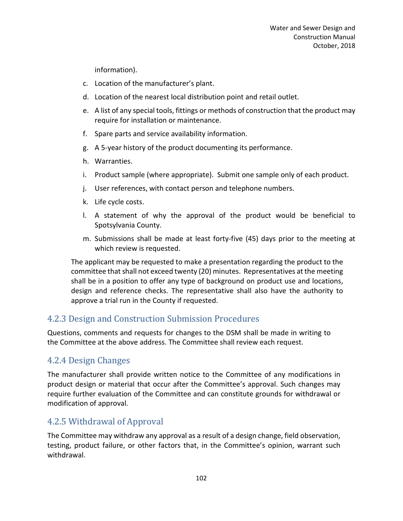information).

- c. Location of the manufacturer's plant.
- d. Location of the nearest local distribution point and retail outlet.
- e. A list of any special tools, fittings or methods of construction that the product may require for installation or maintenance.
- f. Spare parts and service availability information.
- g. A 5-year history of the product documenting its performance.
- h. Warranties.
- i. Product sample (where appropriate). Submit one sample only of each product.
- j. User references, with contact person and telephone numbers.
- k. Life cycle costs.
- l. A statement of why the approval of the product would be beneficial to Spotsylvania County.
- m. Submissions shall be made at least forty-five (45) days prior to the meeting at which review is requested.

The applicant may be requested to make a presentation regarding the product to the committee that shall not exceed twenty (20) minutes. Representatives at the meeting shall be in a position to offer any type of background on product use and locations, design and reference checks. The representative shall also have the authority to approve a trial run in the County if requested.

## 4.2.3 Design and Construction Submission Procedures

Questions, comments and requests for changes to the DSM shall be made in writing to the Committee at the above address. The Committee shall review each request.

# 4.2.4 Design Changes

The manufacturer shall provide written notice to the Committee of any modifications in product design or material that occur after the Committee's approval. Such changes may require further evaluation of the Committee and can constitute grounds for withdrawal or modification of approval.

## 4.2.5 Withdrawal of Approval

The Committee may withdraw any approval as a result of a design change, field observation, testing, product failure, or other factors that, in the Committee's opinion, warrant such withdrawal.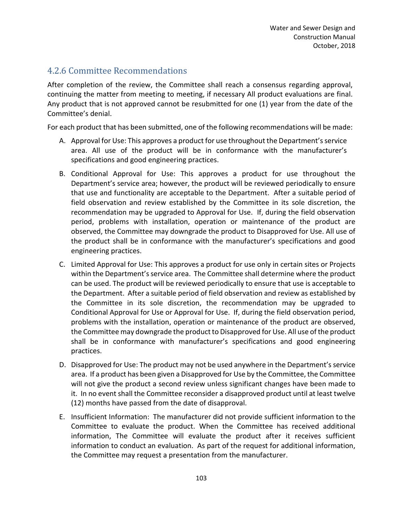# 4.2.6 Committee Recommendations

After completion of the review, the Committee shall reach a consensus regarding approval, continuing the matter from meeting to meeting, if necessary All product evaluations are final. Any product that is not approved cannot be resubmitted for one (1) year from the date of the Committee's denial.

For each product that has been submitted, one of the following recommendations will be made:

- A. Approval for Use: This approves a product for use throughout the Department's service area. All use of the product will be in conformance with the manufacturer's specifications and good engineering practices.
- B. Conditional Approval for Use: This approves a product for use throughout the Department's service area; however, the product will be reviewed periodically to ensure that use and functionality are acceptable to the Department. After a suitable period of field observation and review established by the Committee in its sole discretion, the recommendation may be upgraded to Approval for Use. If, during the field observation period, problems with installation, operation or maintenance of the product are observed, the Committee may downgrade the product to Disapproved for Use. All use of the product shall be in conformance with the manufacturer's specifications and good engineering practices.
- C. Limited Approval for Use: This approves a product for use only in certain sites or Projects within the Department's service area. The Committee shall determine where the product can be used. The product will be reviewed periodically to ensure that use is acceptable to the Department. After a suitable period of field observation and review as established by the Committee in its sole discretion, the recommendation may be upgraded to Conditional Approval for Use or Approval for Use. If, during the field observation period, problems with the installation, operation or maintenance of the product are observed, the Committee may downgrade the product to Disapproved for Use. All use of the product shall be in conformance with manufacturer's specifications and good engineering practices.
- D. Disapproved for Use: The product may not be used anywhere in the Department's service area. If a product has been given a Disapproved for Use by the Committee, the Committee will not give the product a second review unless significant changes have been made to it. In no event shall the Committee reconsider a disapproved product until at least twelve (12) months have passed from the date of disapproval.
- E. Insufficient Information: The manufacturer did not provide sufficient information to the Committee to evaluate the product. When the Committee has received additional information, The Committee will evaluate the product after it receives sufficient information to conduct an evaluation. As part of the request for additional information, the Committee may request a presentation from the manufacturer.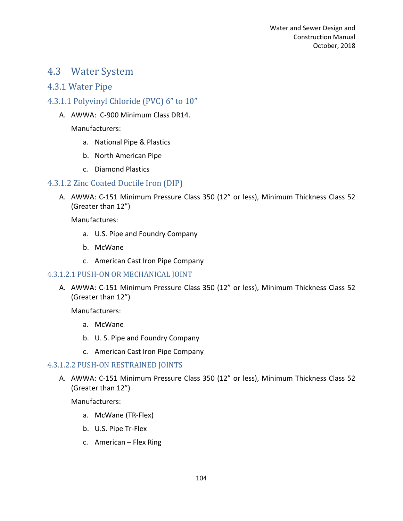# 4.3 Water System

### 4.3.1 Water Pipe

### 4.3.1.1 Polyvinyl Chloride (PVC) 6" to 10"

A. AWWA: C-900 Minimum Class DR14.

Manufacturers:

- a. National Pipe & Plastics
- b. North American Pipe
- c. Diamond Plastics

#### 4.3.1.2 Zinc Coated Ductile Iron (DIP)

A. AWWA: C-151 Minimum Pressure Class 350 (12" or less), Minimum Thickness Class 52 (Greater than 12")

Manufactures:

- a. U.S. Pipe and Foundry Company
- b. McWane
- c. American Cast Iron Pipe Company

#### 4.3.1.2.1 PUSH-ON OR MECHANICAL JOINT

A. AWWA: C-151 Minimum Pressure Class 350 (12" or less), Minimum Thickness Class 52 (Greater than 12")

Manufacturers:

- a. McWane
- b. U. S. Pipe and Foundry Company
- c. American Cast Iron Pipe Company

#### 4.3.1.2.2 PUSH-ON RESTRAINED JOINTS

A. AWWA: C-151 Minimum Pressure Class 350 (12" or less), Minimum Thickness Class 52 (Greater than 12")

- a. McWane (TR-Flex)
- b. U.S. Pipe Tr-Flex
- c. American Flex Ring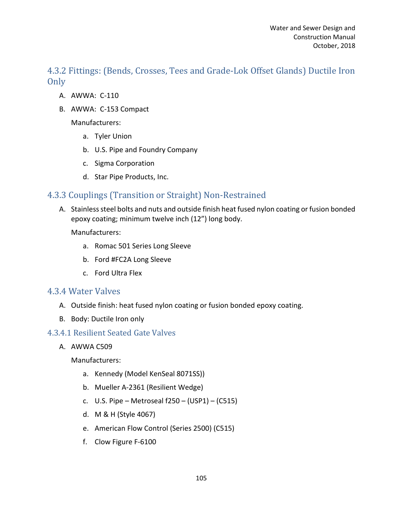4.3.2 Fittings: (Bends, Crosses, Tees and Grade-Lok Offset Glands) Ductile Iron Only

- A. AWWA: C-110
- B. AWWA: C-153 Compact

Manufacturers:

- a. Tyler Union
- b. U.S. Pipe and Foundry Company
- c. Sigma Corporation
- d. Star Pipe Products, Inc.

## 4.3.3 Couplings (Transition or Straight) Non-Restrained

A. Stainless steel bolts and nuts and outside finish heat fused nylon coating or fusion bonded epoxy coating; minimum twelve inch (12") long body.

Manufacturers:

- a. Romac 501 Series Long Sleeve
- b. Ford #FC2A Long Sleeve
- c. Ford Ultra Flex

#### 4.3.4 Water Valves

- A. Outside finish: heat fused nylon coating or fusion bonded epoxy coating.
- B. Body: Ductile Iron only

#### 4.3.4.1 Resilient Seated Gate Valves

A. AWWA C509

- a. Kennedy (Model KenSeal 8071SS))
- b. Mueller A-2361 (Resilient Wedge)
- c. U.S. Pipe Metroseal f250 (USP1) (C515)
- d. M & H (Style 4067)
- e. American Flow Control (Series 2500) (C515)
- f. Clow Figure F-6100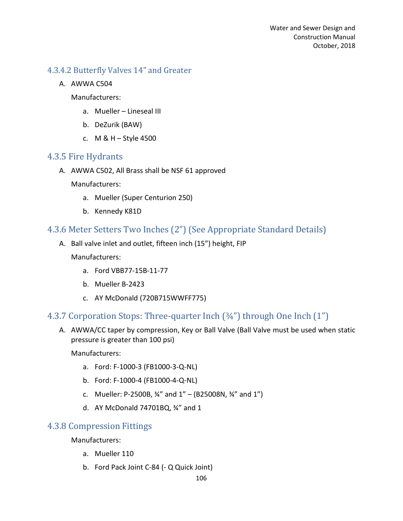#### 4.3.4.2 Butterfly Valves 14" and Greater

A. AWWA C504

Manufacturers:

- a. Mueller Lineseal III
- b. DeZurik (BAW)
- c. M & H Style 4500

#### 4.3.5 Fire Hydrants

A. AWWA C502, All Brass shall be NSF 61 approved

Manufacturers:

- a. Mueller (Super Centurion 250)
- b. Kennedy K81D

## 4.3.6 Meter Setters Two Inches (2") (See Appropriate Standard Details)

A. Ball valve inlet and outlet, fifteen inch (15") height, FIP

Manufacturers:

- a. Ford VBB77-15B-11-77
- b. Mueller B-2423
- c. AY McDonald (720B715WWFF775)

## 4.3.7 Corporation Stops: Three-quarter Inch (¾") through One Inch (1")

A. AWWA/CC taper by compression, Key or Ball Valve (Ball Valve must be used when static pressure is greater than 100 psi)

Manufacturers:

- a. Ford: F-1000-3 (FB1000-3-Q-NL)
- b. Ford: F-1000-4 (FB1000-4-Q-NL)
- c. Mueller: P-2500B,  $\frac{3}{4}$ " and  $1$ " (B25008N,  $\frac{3}{4}$ " and  $1$ ")
- d. AY McDonald 74701BQ, ¾" and 1

## 4.3.8 Compression Fittings

- a. Mueller 110
- b. Ford Pack Joint C-84 (- Q Quick Joint)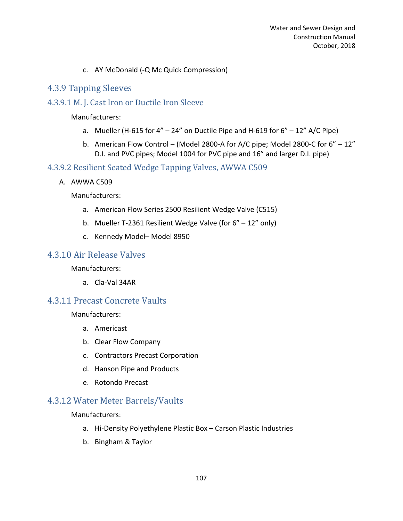#### c. AY McDonald (-Q Mc Quick Compression)

#### 4.3.9 Tapping Sleeves

#### 4.3.9.1 M. J. Cast Iron or Ductile Iron Sleeve

#### Manufacturers:

- a. Mueller (H-615 for  $4'' 24''$  on Ductile Pipe and H-619 for  $6'' 12''$  A/C Pipe)
- b. American Flow Control (Model 2800-A for A/C pipe; Model 2800-C for  $6'' 12''$ D.I. and PVC pipes; Model 1004 for PVC pipe and 16" and larger D.I. pipe)

#### 4.3.9.2 Resilient Seated Wedge Tapping Valves, AWWA C509

A. AWWA C509

Manufacturers:

- a. American Flow Series 2500 Resilient Wedge Valve (C515)
- b. Mueller T-2361 Resilient Wedge Valve (for 6" 12" only)
- c. Kennedy Model– Model 8950

### 4.3.10 Air Release Valves

#### Manufacturers:

a. Cla-Val 34AR

#### 4.3.11 Precast Concrete Vaults

Manufacturers:

- a. Americast
- b. Clear Flow Company
- c. Contractors Precast Corporation
- d. Hanson Pipe and Products
- e. Rotondo Precast

## 4.3.12 Water Meter Barrels/Vaults

- a. Hi-Density Polyethylene Plastic Box Carson Plastic Industries
- b. Bingham & Taylor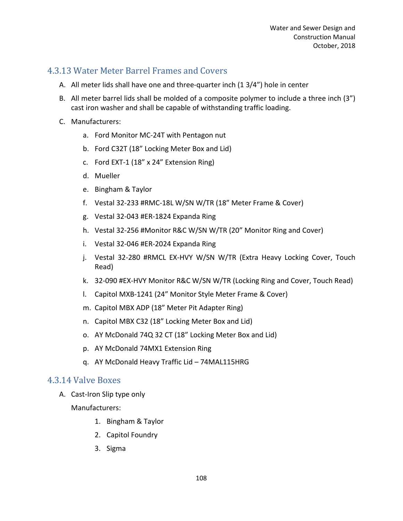# 4.3.13 Water Meter Barrel Frames and Covers

- A. All meter lids shall have one and three-quarter inch (1 3/4") hole in center
- B. All meter barrel lids shall be molded of a composite polymer to include a three inch (3") cast iron washer and shall be capable of withstanding traffic loading.
- C. Manufacturers:
	- a. Ford Monitor MC-24T with Pentagon nut
	- b. Ford C32T (18" Locking Meter Box and Lid)
	- c. Ford EXT-1 (18" x 24" Extension Ring)
	- d. Mueller
	- e. Bingham & Taylor
	- f. Vestal 32-233 #RMC-18L W/SN W/TR (18" Meter Frame & Cover)
	- g. Vestal 32-043 #ER-1824 Expanda Ring
	- h. Vestal 32-256 #Monitor R&C W/SN W/TR (20" Monitor Ring and Cover)
	- i. Vestal 32-046 #ER-2024 Expanda Ring
	- j. Vestal 32-280 #RMCL EX-HVY W/SN W/TR (Extra Heavy Locking Cover, Touch Read)
	- k. 32-090 #EX-HVY Monitor R&C W/SN W/TR (Locking Ring and Cover, Touch Read)
	- l. Capitol MXB-1241 (24" Monitor Style Meter Frame & Cover)
	- m. Capitol MBX ADP (18" Meter Pit Adapter Ring)
	- n. Capitol MBX C32 (18" Locking Meter Box and Lid)
	- o. AY McDonald 74Q 32 CT (18" Locking Meter Box and Lid)
	- p. AY McDonald 74MX1 Extension Ring
	- q. AY McDonald Heavy Traffic Lid 74MAL115HRG

#### 4.3.14 Valve Boxes

A. Cast-Iron Slip type only

- 1. Bingham & Taylor
- 2. Capitol Foundry
- 3. Sigma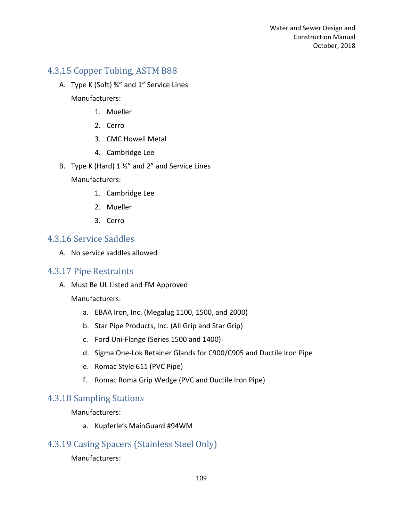### 4.3.15 Copper Tubing, ASTM B88

- A. Type K (Soft) ¾" and 1" Service Lines Manufacturers:
	- 1. Mueller
	- 2. Cerro
	- 3. CMC Howell Metal
	- 4. Cambridge Lee
- B. Type K (Hard) 1 ½" and 2" and Service Lines

Manufacturers:

- 1. Cambridge Lee
- 2. Mueller
- 3. Cerro

#### 4.3.16 Service Saddles

A. No service saddles allowed

#### 4.3.17 Pipe Restraints

A. Must Be UL Listed and FM Approved

Manufacturers:

- a. EBAA Iron, Inc. (Megalug 1100, 1500, and 2000)
- b. Star Pipe Products, Inc. (All Grip and Star Grip)
- c. Ford Uni-Flange (Series 1500 and 1400)
- d. Sigma One-Lok Retainer Glands for C900/C905 and Ductile Iron Pipe
- e. Romac Style 611 (PVC Pipe)
- f. Romac Roma Grip Wedge (PVC and Ductile Iron Pipe)

#### 4.3.18 Sampling Stations

Manufacturers:

a. Kupferle's MainGuard #94WM

## 4.3.19 Casing Spacers (Stainless Steel Only)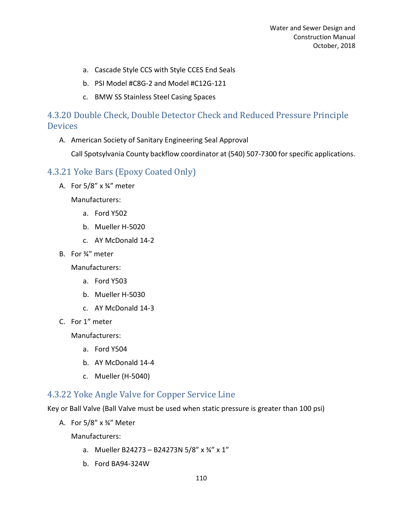- a. Cascade Style CCS with Style CCES End Seals
- b. PSI Model #C8G-2 and Model #C12G-121
- c. BMW SS Stainless Steel Casing Spaces

# 4.3.20 Double Check, Double Detector Check and Reduced Pressure Principle **Devices**

A. American Society of Sanitary Engineering Seal Approval

Call Spotsylvania County backflow coordinator at (540) 507-7300 for specific applications.

### 4.3.21 Yoke Bars (Epoxy Coated Only)

A. For  $5/8$ " x  $\frac{3}{4}$ " meter

Manufacturers:

- a. Ford Y502
- b. Mueller H-5020
- c. AY McDonald 14-2
- B. For ¾" meter

Manufacturers:

- a. Ford Y503
- b. Mueller H-5030
- c. AY McDonald 14-3
- C. For 1" meter

Manufacturers:

- a. Ford Y504
- b. AY McDonald 14-4
- c. Mueller (H-5040)

### 4.3.22 Yoke Angle Valve for Copper Service Line

Key or Ball Valve (Ball Valve must be used when static pressure is greater than 100 psi)

A. For 5/8" x ¾" Meter

- a. Mueller B24273 B24273N 5/8" x  $\frac{3}{4}$ " x 1"
- b. Ford BA94-324W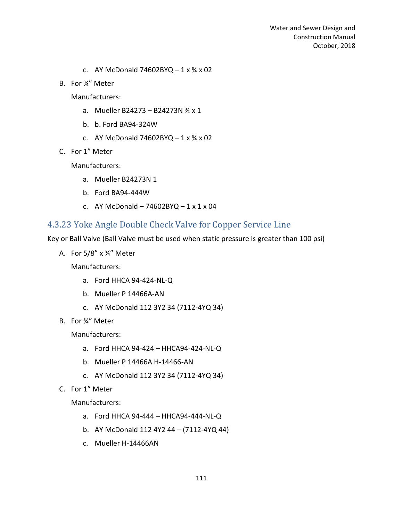- c. AY McDonald  $74602BYQ 1 \times \frac{3}{4} \times 02$
- B. For ¾" Meter

Manufacturers:

- a. Mueller B24273 B24273N ¾ x 1
- b. b. Ford BA94-324W
- c. AY McDonald  $74602BYQ 1 \times \frac{3}{4} \times 02$
- C. For 1" Meter

Manufacturers:

- a. Mueller B24273N 1
- b. Ford BA94-444W
- c. AY McDonald  $74602BYQ 1 x 1 x 04$

### 4.3.23 Yoke Angle Double Check Valve for Copper Service Line

Key or Ball Valve (Ball Valve must be used when static pressure is greater than 100 psi)

A. For 5/8" x ¾" Meter

Manufacturers:

- a. Ford HHCA 94-424-NL-Q
- b. Mueller P 14466A-AN
- c. AY McDonald 112 3Y2 34 (7112-4YQ 34)
- B. For ¾" Meter

Manufacturers:

- a. Ford HHCA 94-424 HHCA94-424-NL-Q
- b. Mueller P 14466A H-14466-AN
- c. AY McDonald 112 3Y2 34 (7112-4YQ 34)
- C. For 1" Meter

- a. Ford HHCA 94-444 HHCA94-444-NL-Q
- b. AY McDonald 112 4Y2 44 (7112-4YQ 44)
- c. Mueller H-14466AN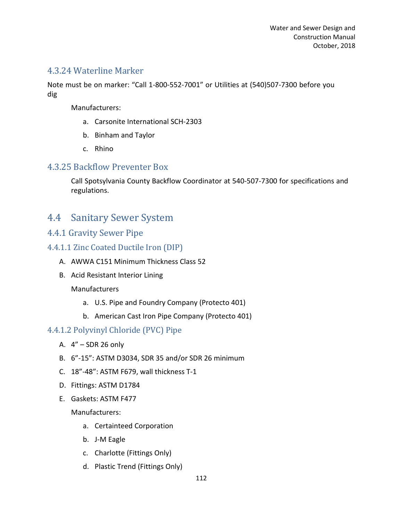#### 4.3.24 Waterline Marker

Note must be on marker: "Call 1-800-552-7001" or Utilities at (540)507-7300 before you dig

Manufacturers:

- a. Carsonite International SCH-2303
- b. Binham and Taylor
- c. Rhino

#### 4.3.25 Backflow Preventer Box

Call Spotsylvania County Backflow Coordinator at 540-507-7300 for specifications and regulations.

# 4.4 Sanitary Sewer System

### 4.4.1 Gravity Sewer Pipe

- 4.4.1.1 Zinc Coated Ductile Iron (DIP)
	- A. AWWA C151 Minimum Thickness Class 52
	- B. Acid Resistant Interior Lining

#### Manufacturers

- a. U.S. Pipe and Foundry Company (Protecto 401)
- b. American Cast Iron Pipe Company (Protecto 401)

#### 4.4.1.2 Polyvinyl Chloride (PVC) Pipe

- A. 4" SDR 26 only
- B. 6"-15": ASTM D3034, SDR 35 and/or SDR 26 minimum
- C. 18"-48": ASTM F679, wall thickness T-1
- D. Fittings: ASTM D1784
- E. Gaskets: ASTM F477

- a. Certainteed Corporation
- b. J-M Eagle
- c. Charlotte (Fittings Only)
- d. Plastic Trend (Fittings Only)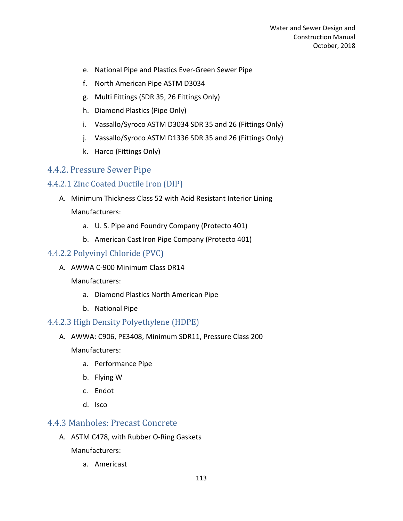- e. National Pipe and Plastics Ever-Green Sewer Pipe
- f. North American Pipe ASTM D3034
- g. Multi Fittings (SDR 35, 26 Fittings Only)
- h. Diamond Plastics (Pipe Only)
- i. Vassallo/Syroco ASTM D3034 SDR 35 and 26 (Fittings Only)
- j. Vassallo/Syroco ASTM D1336 SDR 35 and 26 (Fittings Only)
- k. Harco (Fittings Only)

#### 4.4.2. Pressure Sewer Pipe

#### 4.4.2.1 Zinc Coated Ductile Iron (DIP)

- A. Minimum Thickness Class 52 with Acid Resistant Interior Lining Manufacturers:
	- a. U. S. Pipe and Foundry Company (Protecto 401)
	- b. American Cast Iron Pipe Company (Protecto 401)

#### 4.4.2.2 Polyvinyl Chloride (PVC)

A. AWWA C-900 Minimum Class DR14

#### Manufacturers:

- a. Diamond Plastics North American Pipe
- b. National Pipe

#### 4.4.2.3 High Density Polyethylene (HDPE)

A. AWWA: C906, PE3408, Minimum SDR11, Pressure Class 200

Manufacturers:

- a. Performance Pipe
- b. Flying W
- c. Endot
- d. Isco

#### 4.4.3 Manholes: Precast Concrete

A. ASTM C478, with Rubber O-Ring Gaskets

Manufacturers:

a. Americast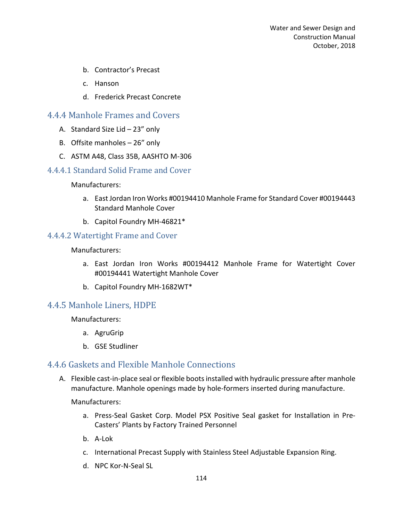- b. Contractor's Precast
- c. Hanson
- d. Frederick Precast Concrete

#### 4.4.4 Manhole Frames and Covers

- A. Standard Size Lid 23" only
- B. Offsite manholes 26" only
- C. ASTM A48, Class 35B, AASHTO M-306

#### 4.4.4.1 Standard Solid Frame and Cover

Manufacturers:

- a. East Jordan Iron Works #00194410 Manhole Frame for Standard Cover #00194443 Standard Manhole Cover
- b. Capitol Foundry MH-46821\*

#### 4.4.4.2 Watertight Frame and Cover

Manufacturers:

- a. East Jordan Iron Works #00194412 Manhole Frame for Watertight Cover #00194441 Watertight Manhole Cover
- b. Capitol Foundry MH-1682WT\*

#### 4.4.5 Manhole Liners, HDPE

Manufacturers:

- a. AgruGrip
- b. GSE Studliner

#### 4.4.6 Gaskets and Flexible Manhole Connections

A. Flexible cast-in-place seal or flexible boots installed with hydraulic pressure after manhole manufacture. Manhole openings made by hole-formers inserted during manufacture.

- a. Press-Seal Gasket Corp. Model PSX Positive Seal gasket for Installation in Pre-Casters' Plants by Factory Trained Personnel
- b. A-Lok
- c. International Precast Supply with Stainless Steel Adjustable Expansion Ring.
- d. NPC Kor-N-Seal SL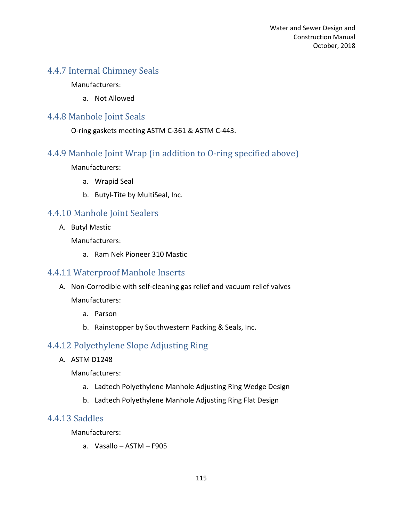# 4.4.7 Internal Chimney Seals

Manufacturers:

a. Not Allowed

#### 4.4.8 Manhole Joint Seals

O-ring gaskets meeting ASTM C-361 & ASTM C-443.

## 4.4.9 Manhole Joint Wrap (in addition to O-ring specified above)

Manufacturers:

- a. Wrapid Seal
- b. Butyl-Tite by MultiSeal, Inc.

## 4.4.10 Manhole Joint Sealers

A. Butyl Mastic

Manufacturers:

a. Ram Nek Pioneer 310 Mastic

#### 4.4.11 Waterproof Manhole Inserts

- A. Non-Corrodible with self-cleaning gas relief and vacuum relief valves Manufacturers:
	- a. Parson
	- b. Rainstopper by Southwestern Packing & Seals, Inc.

# 4.4.12 Polyethylene Slope Adjusting Ring

A. ASTM D1248

Manufacturers:

- a. Ladtech Polyethylene Manhole Adjusting Ring Wedge Design
- b. Ladtech Polyethylene Manhole Adjusting Ring Flat Design

#### 4.4.13 Saddles

Manufacturers:

a. Vasallo – ASTM – F905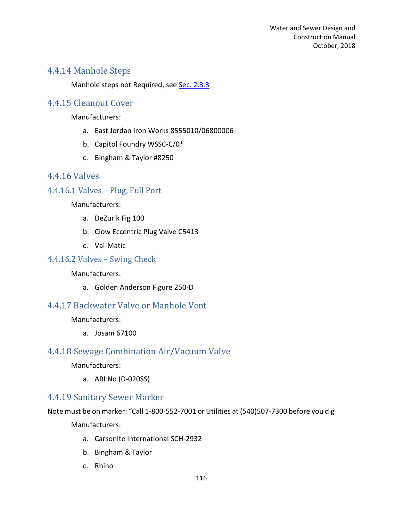### 4.4.14 Manhole Steps

Manhole steps not Required, see Sec. 2.3.3

### 4.4.15 Cleanout Cover

Manufacturers:

- a. East Jordan Iron Works 8555010/06800006
- b. Capitol Foundry WSSC-C/0\*
- c. Bingham & Taylor #8250

#### 4.4.16 Valves

#### 4.4.16.1 Valves – Plug, Full Port

Manufacturers:

- a. DeZurik Fig 100
- b. Clow Eccentric Plug Valve C5413
- c. Val-Matic

#### 4.4.16.2 Valves – Swing Check

Manufacturers:

a. Golden Anderson Figure 250-D

### 4.4.17 Backwater Valve or Manhole Vent

Manufacturers:

a. Josam 67100

#### 4.4.18 Sewage Combination Air/Vacuum Valve

Manufacturers:

a. ARI No (D-020SS)

#### 4.4.19 Sanitary Sewer Marker

Note must be on marker: "Call 1-800-552-7001 or Utilities at (540)507-7300 before you dig

- a. Carsonite International SCH-2932
- b. Bingham & Taylor
- c. Rhino